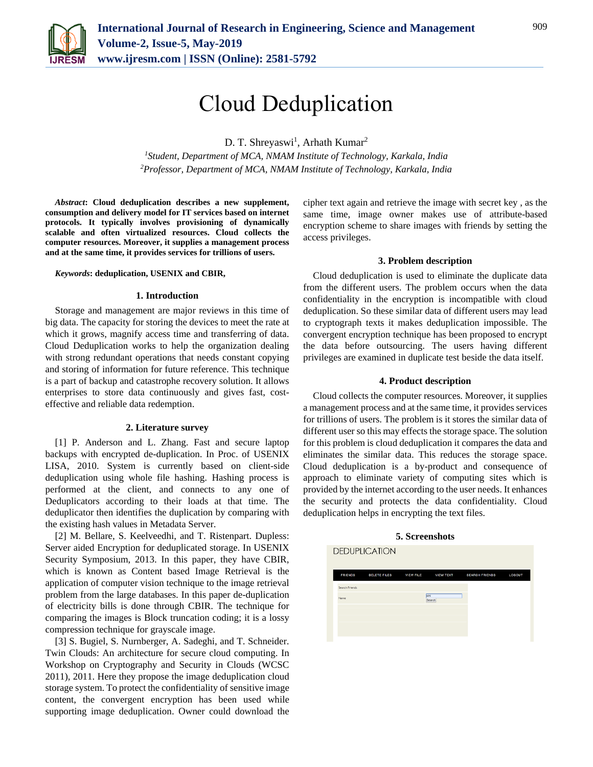

# Cloud Deduplication

D. T. Shreyaswi<sup>1</sup>, Arhath Kumar<sup>2</sup>

*<sup>1</sup>Student, Department of MCA, NMAM Institute of Technology, Karkala, India 2Professor, Department of MCA, NMAM Institute of Technology, Karkala, India*

*Abstract***: Cloud deduplication describes a new supplement, consumption and delivery model for IT services based on internet protocols. It typically involves provisioning of dynamically scalable and often virtualized resources. Cloud collects the computer resources. Moreover, it supplies a management process and at the same time, it provides services for trillions of users.** 

## *Keywords***: deduplication, USENIX and CBIR,**

## **1. Introduction**

Storage and management are major reviews in this time of big data. The capacity for storing the devices to meet the rate at which it grows, magnify access time and transferring of data. Cloud Deduplication works to help the organization dealing with strong redundant operations that needs constant copying and storing of information for future reference. This technique is a part of backup and catastrophe recovery solution. It allows enterprises to store data continuously and gives fast, costeffective and reliable data redemption.

## **2. Literature survey**

[1] P. Anderson and L. Zhang. Fast and secure laptop backups with encrypted de-duplication. In Proc. of USENIX LISA, 2010. System is currently based on client-side deduplication using whole file hashing. Hashing process is performed at the client, and connects to any one of Deduplicators according to their loads at that time. The deduplicator then identifies the duplication by comparing with the existing hash values in Metadata Server.

[2] M. Bellare, S. Keelveedhi, and T. Ristenpart. Dupless: Server aided Encryption for deduplicated storage. In USENIX Security Symposium, 2013. In this paper, they have CBIR, which is known as Content based Image Retrieval is the application of computer vision technique to the image retrieval problem from the large databases. In this paper de-duplication of electricity bills is done through CBIR. The technique for comparing the images is Block truncation coding; it is a lossy compression technique for grayscale image.

[3] S. Bugiel, S. Nurnberger, A. Sadeghi, and T. Schneider. Twin Clouds: An architecture for secure cloud computing. In Workshop on Cryptography and Security in Clouds (WCSC 2011), 2011. Here they propose the image deduplication cloud storage system. To protect the confidentiality of sensitive image content, the convergent encryption has been used while supporting image deduplication. Owner could download the cipher text again and retrieve the image with secret key , as the same time, image owner makes use of attribute-based encryption scheme to share images with friends by setting the access privileges.

## **3. Problem description**

Cloud deduplication is used to eliminate the duplicate data from the different users. The problem occurs when the data confidentiality in the encryption is incompatible with cloud deduplication. So these similar data of different users may lead to cryptograph texts it makes deduplication impossible. The convergent encryption technique has been proposed to encrypt the data before outsourcing. The users having different privileges are examined in duplicate test beside the data itself.

## **4. Product description**

Cloud collects the computer resources. Moreover, it supplies a management process and at the same time, it provides services for trillions of users. The problem is it stores the similar data of different user so this may effects the storage space. The solution for this problem is cloud deduplication it compares the data and eliminates the similar data. This reduces the storage space. Cloud deduplication is a by-product and consequence of approach to eliminate variety of computing sites which is provided by the internet according to the user needs. It enhances the security and protects the data confidentiality. Cloud deduplication helps in encrypting the text files.

# **DEDUPLICATION**

### **5. Screenshots**